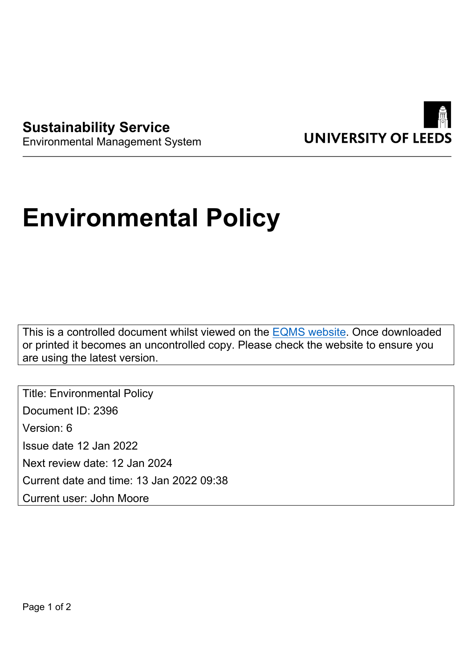



## Environmental Management System

## **Environmental Policy**

This is a controlled document whilst viewed on the [EQMS website](https://universityofleeds.myeqms.com/Login/Login.aspx). Once downloaded or printed it becomes an uncontrolled copy. Please check the website to ensure you are using the latest version.

Title: Environmental Policy Document ID: 2396 Version: 6 Issue date 12 Jan 2022 Next review date: 12 Jan 2024 Current date and time: 13 Jan 2022 09:38 Current user: John Moore